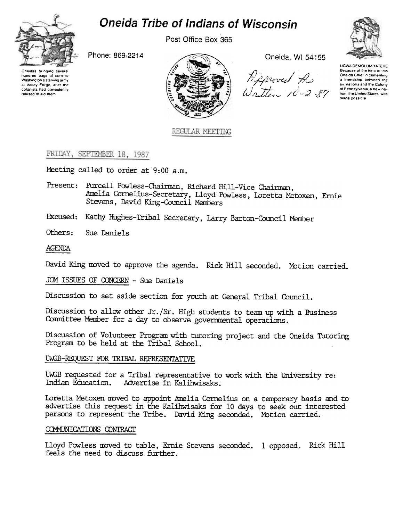

hundred bags of corn to Washington's starving army at Valley Forge, after the colonists had consistently refused to aid them

# **Oneida Tribe of Indians of Wisconsin**

Post Office Box 365

Phone: 869-2214



REGULAR MEETING

Oneida, WI 54155

Because of the help of this<br>  $\pi$ <br>  $\pi$ <br>  $\pi$ <br>  $\pi$ <br>  $\pi$ <br>  $\pi$ <br>  $\pi$ <br>  $\pi$ <br>  $\pi$ <br>  $\pi$ <br>  $\pi$ <br>  $\pi$ <br>  $\pi$ <br>  $\pi$ <br>  $\pi$ <br>  $\pi$ <br>  $\pi$ <br>  $\pi$ <br>  $\pi$ <br>  $\pi$ <br>  $\pi$ <br>  $\pi$ <br>  $\pi$ <br>  $\pi$ <br>  $\pi$ <br>  $\pi$ <br>  $\pi$ <br>  $\pi$ <br>  $\pi$ <br>  $\pi$ <br>  $\pi$ <br>  $\pi$ <br>

UGWA DEMOLUM YATEHE Because of the help of this<br>Oneida Chief in cementing made nossible

# FRIDAY, SEPTEMBER 18, 1987

Meeting called to order at 9:00 a.m.

- Present: Purcell Powless-Chairman, Richard Hill-Vice Chairman, Amelia Cornelius-Secretary, Lloyd Powless, Loretta Metoxen, Ernie Stevens, David King-Council Members
- Excused: Kathy Hughes-Tribal Secretary, Larry Barton-Council Member

Others: Sue Daniels

## AGENDA

David King moved to approve the agenda. Rick Hill seconded. Motion carried.

JOM ISSUES OF CONCERN - Sue Daniels

Discussion to set aside section for youth at General Tribal Council.

Discussion to allow other Jr./Sr. High students to team up with a Business Committee Member for a day to observe governmental operations.

Discussion of Volunteer Program with tutoring project and the Oneida Tutoring Program to be held at the Tribal School.

### UWGB-REQUEST FOR TRIBAL REPRESENTATIVE

UWGB requested for a Tribal representative to work with the University re: Indian Education. Advertise in Kalihwisaks.

Loretta Metoxen moved to appoint Amelia Cornelius on a temporary basis and to advertise this request in the Kalihwisaks for 10 days to seek out interested persons to represent the Tribe. David King seconded. Motion carried.

### COMMUNICATIONS CONTRACT

Lloyd Powless moved to table, Ernie Stevens seconded. 1 opposed. Rick Hill feels the need to discuss further.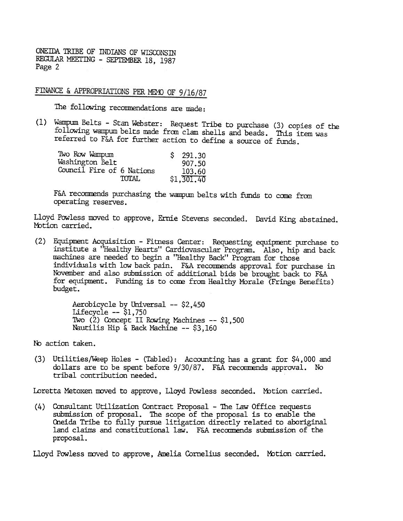FINANCE & APPROPRIATIONS PER MEMO OF 9/16/87

The following reconmendations are made:

(1) Wampum Belts -Stan Webster: Request Tribe to purchase (3) copies of the following wampum belts made fram clam shells and beads. This item was referred to F&A for further action to define a source of funds.

| Two Row Wampum            | \$291.30   |
|---------------------------|------------|
| Washington Belt           | 907.50     |
| Council Fire of 6 Nations | 103.60     |
| <b>TOTAL</b>              | \$1,301,40 |

F&A recommends purchasing the wampum belts with funds to come from operating reserves.

Lloyd Powless moved to approve, Ernie Stevens seconded. David King abstaine Motion carried.

(2) Equipment Acquisition - Fitness Center: Requesting equipment purchase to institute a "Healthy Hearts" Cardiovascular Program. Also, hip and back machines are needed to begin a "Healthy Back" Program for those individuals with low back pain. F&A recommends approval for purchase in November and also submission of additional bids be brought back to F&A for equipment. Funding is to come from Healthy Morale (Fringe Benefits) budget.

> Aerobicycle by Universal -- \$2,450 Lifecycle  $--$  \$1,750 Two (2) Concept II Rowing Machines -- \$1,500 Nautilis Hip  $\&$  Back Machine -- \$3,160

No action taken.

(3) Utilities/Weep Holes -(Tabled): Accounting has a grant for \$4,000 and dollars are to be spent before 9/30/87. F&A recommends approval. No tribal contribution needed.

Loretta Metoxen moved to approve, Lloyd Powless seconded. Motion carried.

(4) Consultant Utilization Contract Proposal -The law Office requests submission of proposal. The scope of the proposal is to enable the Oneida Tribe to fully pursue litigation directly related to aboriginal land claims and constitutional law. F&A recommends submission of the proposal.

Lloyd Powless moved to approve, Amelia Cornelius seconded. Motion carried.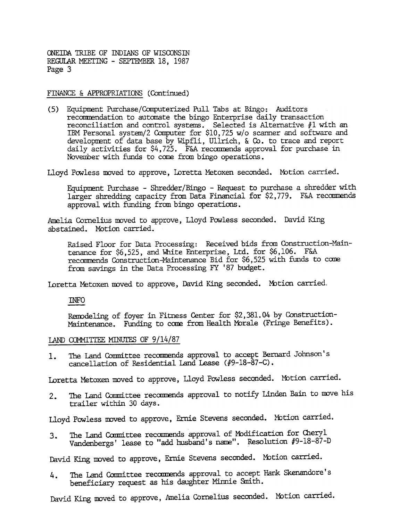#### FINANCE & APPROPRIATIONS (Continued)

(5) Equipment Purchase/Computerized Pull Tabs at Bingo: Auditors recommendation to automate the bingo Enterprise daily transaction reconciliation and control systems. Selected is Alternative #1 with an IBM Personal system/2 Computer for \$10,725 w/o scanner and software and development of data base by Wipfli, Ullrich, & Co. to trace and report daily activities for \$4,725. F&A recommends approval for purchase in November with funds to come from bingo operations.

Lloyd Powless moved to approve, Loretta Metoxen seconded. Motion carried.

Equipment Purchase - Shredder/Bingo - Request to purchase a shredder with larger shredding capacity from Data Financial for  $$2,779$ . F&A recommends approval with funding from bingo operations.

Amelia Cornelius moved to approve, Lloyd Powless seconded. David King abstained. Motion carried.

Raised Floor for Data Processing: Received bids from Construction-Maintenance for \$6,525, and White Enterprise, Ltd. for \$6,106. F&A recommends Construction-Maintenance Bid for \$6,525 with funds to come from savings in the Data Processing FY '87 budget.

1Dretta Metoxen roved to approve, David King seconded. fution carried.

INFO

Remodeling of foyer in Fitness Center for \$2,381.04 by Construction-Maintenance. Funding to come from Health Morale (Fringe Benefits).

### LAND COMMITTEE MINUTES OF 9/14/87

The Land Committee recommends approval to accept Bernard Johnson's 1. cancellation of Residential Land Lease  $(49-18-87-C)$ .

Loretta Metoxen moved to approve, Lloyd Powless seconded. Motion carried.

The Land Committee recommends approval to notify Linden Bain to move his  $2.$ trailer within 30 days.

The Land Committee recommends approval of Modification for Cheryl Vandenbergs' lease to "add husband's name". Resolution #9-18-87-D

2. Iloyd Powless moved to approve, Ernie Stevens seconded. Motion carried.<br>
3. The Land Committee recommends approval of Modification for Cheryl<br>
Vandenbergs' lease to "add husband's name". Resolution #9-18-87-1<br>
1. Eavid The Land Committee recommends approval to accept Hank Skenandore's 4. The Land Committee recommends approval to accept beneficiary request as his daughter Minnie Smith.

David King moved to approve, Amelia Cornelius seconded. Motion carried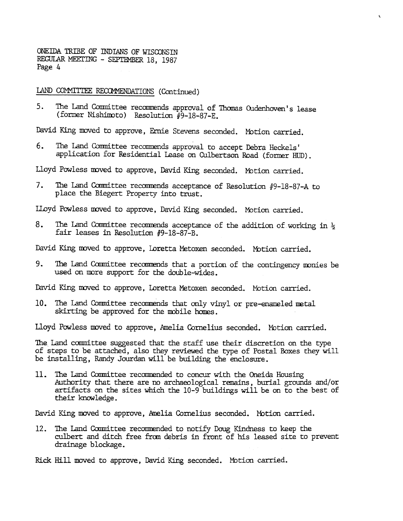LAND COMMITTEE RECOMMENDATIONS (Continued)

5. The Land Committee recommends approval of Thomas Oudenhoven's lease (former Nishimoto) Resolution #9-18-87-E.

..

David King moved to approve, Ernie Stevens seconded. Motion carried.

The Land Committee recommends approval to accept Debra Heckels' 6. application for Residential Lease on Culbertson Road (former HUD).

Lloyd Powless moved to approve, David King seconded. Motion carried.

7. The Land Committee recommends acceptance of Resolution #9-18-87-A to place the Biegert Property into trust.

LLoyd Powless moved to approve, David King seconded. Motion carried.

8. The Land Committee recommends acceptance of the addition of working in  $\frac{1}{2}$ fair leases in Resolution  $#9-18-87-8$ .

David King moved to approve, Loretta Metoxen seconded. Motion carried.

9. The Land Committee recommends that a portion of the contingency monies be used on more support for the double-wides.

David King moved to approve, Loretta Metoxen seconded. Motion carried.

10. The Land Committee recommends that only vinyl or pre-enameled metal skirting be approved for the mobile homes.

Lloyd Powless moved to approve, Amelia Cornelius seconded. Motion carried.

The Land committee suggested that the staff use their discretion on the type of steps to be attached, also they reviewed the type of Postal Boxes they wil be installing, Randy Jourdan will be building the enclosure.

The Land Committee recommended to concur with the Oneida Housing 11. Authority that there are no archaeological ranains, burial grounds and/or artifacts on the sites whidh the 10-9 buildings will be on to the best of their knowledge.

David King moved to approve, Amelia Cornelius seconded. Motion carried.

12. The Land Committee recommended to notify Doug Kindness to keep the culbert and ditch free from debris in front of his leased site to drainage blockage.<br>Rick Hill moved to approve, David King seconded. Motion carried. culbert and ditch free fran debris in front of his leased site to prevent drainage blockage.

Rick Hill moved to approve, David King seconded. Motion carried.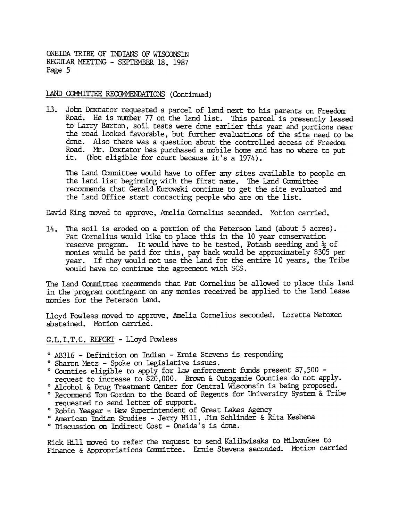#### LAND COMMITTEE RECOMMENDATIONS (Continued)

John Daxtator requested a parcel of land next to his parents on Freedom 13. Road. He is number 77 on the land list. This parcel is presently leased to Larry Barton, soil tests were done earlier this year and portions near the road looked favorable, but further evaluations of the site need to be done. Also there was a question about the controlled access of Freedom Road. Mr. Doxtator has purchased a mobile home and has no where to put it. (Not eligible for court because it's a 1974).

The Land Committee would have to offer any sites available to people on the land list beginning with the first name. The Land Committee recamends that Gerald Kurowski continue to get the site evaluated and the Land Office start contacting people who are on the list.

David King moved to approve, Amelia Cornelius seconded. Wotion carried.

The soil is eroded on a portion of the Peterson land (about 5 acres).  $14.$ Pat Cornelius would like to place this in the 10 year conservation reserve program. It would have to be tested, Potash seeding and  $\frac{1}{2}$  of monies would be paid for this, pay back would be approximately \$305 per year. If they would not use the land for the entire 10 years, the Tribe would have to continue the agreement with SCS.

The Land Committee recommends that Pat Cornelius be allowed to place this land in the program contingent on any monies received be applied to the land lease monies for the Peterson land.

Lloyd Powless moved to approve, Amelia Cornelius seconded. Loretta Metoxer abstained. Motion carried.

G.L.I.T.C. REPORT - Lloyd Powless

- 0 AB316 -Definition on Indian -Ernie Stevens is responding
- ° Sharon Metz Spoke on legislative issues.
- $^{\circ}$  Counties eligible to apply for law enforcement funds present \$7,500 request to increase to \$20,000. Brown & Outagamie Counties do not apply.
- ° Alcohol & Drug Treatment Center for Central Wisconsin is being proposed.
- ° Recommend Tom Gordon to the Board of Regents for University System & Tribe requested to send letter of support.
- ° Robin Yeager New Superintendent of Great Lakes Agency
- ° American Indian Studies Jerry Hill, Jim Schlinder & Rita Keshena
- ° Discussion on Indirect Cost Oneida's is done.

Rick Hill moved to refer the request to send Kalihwisaks to Milwaukee to Finance & Appropriations Committee. Ernie Stevens seconded. Mbtion carried,